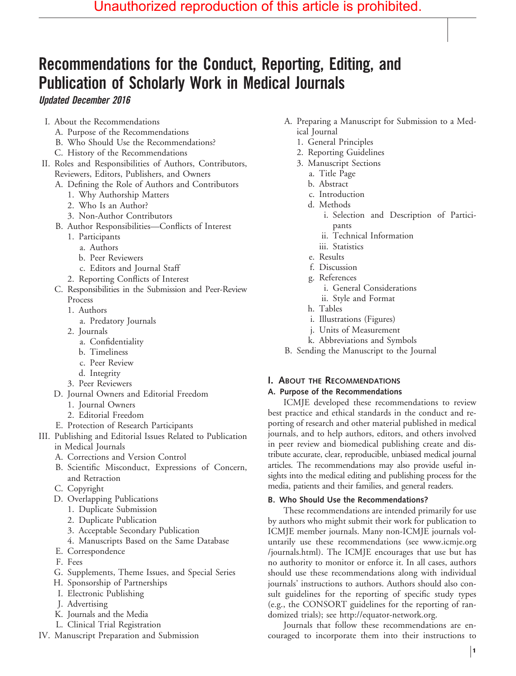*Updated December 2016*

- I. About the Recommendations
	- A. Purpose of the Recommendations
	- B. Who Should Use the Recommendations?
	- C. History of the Recommendations
- II. Roles and Responsibilities of Authors, Contributors, Reviewers, Editors, Publishers, and Owners
	- A. Defining the Role of Authors and Contributors
		- 1. Why Authorship Matters
		- 2. Who Is an Author?
		- 3. Non-Author Contributors
	- B. Author Responsibilities—Conflicts of Interest
		- 1. Participants
			- a. Authors
			- b. Peer Reviewers
			- c. Editors and Journal Staff
		- 2. Reporting Conflicts of Interest
	- C. Responsibilities in the Submission and Peer-Review Process
		- 1. Authors
			- a. Predatory Journals
		- 2. Journals
			- a. Confidentiality
			- b. Timeliness
			- c. Peer Review
			- d. Integrity
		- 3. Peer Reviewers
	- D. Journal Owners and Editorial Freedom
		- 1. Journal Owners
		- 2. Editorial Freedom
	- E. Protection of Research Participants
- III. Publishing and Editorial Issues Related to Publication in Medical Journals
	- A. Corrections and Version Control
	- B. Scientific Misconduct, Expressions of Concern, and Retraction
	- C. Copyright
	- D. Overlapping Publications
		- 1. Duplicate Submission
		- 2. Duplicate Publication
		- 3. Acceptable Secondary Publication
		- 4. Manuscripts Based on the Same Database
	- E. Correspondence
	- F. Fees
	- G. Supplements, Theme Issues, and Special Series
	- H. Sponsorship of Partnerships
	- I. Electronic Publishing
	- J. Advertising
	- K. Journals and the Media
	- L. Clinical Trial Registration
- IV. Manuscript Preparation and Submission
- A. Preparing a Manuscript for Submission to a Medical Journal
	- 1. General Principles
	- 2. Reporting Guidelines
	- 3. Manuscript Sections
		- a. Title Page
		- b. Abstract
		- c. Introduction
		- d. Methods
			- i. Selection and Description of Participants
			- ii. Technical Information
			- iii. Statistics
		- e. Results
		- f. Discussion
		- g. References
			- i. General Considerations
			- ii. Style and Format
		- h. Tables
		- i. Illustrations (Figures)
		- j. Units of Measurement
		- k. Abbreviations and Symbols
- B. Sending the Manuscript to the Journal

### **I. ABOUT THE RECOMMENDATIONS**

### **A. Purpose of the Recommendations**

ICMJE developed these recommendations to review best practice and ethical standards in the conduct and reporting of research and other material published in medical journals, and to help authors, editors, and others involved in peer review and biomedical publishing create and distribute accurate, clear, reproducible, unbiased medical journal articles. The recommendations may also provide useful insights into the medical editing and publishing process for the media, patients and their families, and general readers.

### **B. Who Should Use the Recommendations?**

These recommendations are intended primarily for use by authors who might submit their work for publication to ICMJE member journals. Many non-ICMJE journals voluntarily use these recommendations (see www.icmje.org /journals.html). The ICMJE encourages that use but has no authority to monitor or enforce it. In all cases, authors should use these recommendations along with individual journals' instructions to authors. Authors should also consult guidelines for the reporting of specific study types (e.g., the CONSORT guidelines for the reporting of randomized trials); see http://equator-network.org.

Journals that follow these recommendations are encouraged to incorporate them into their instructions to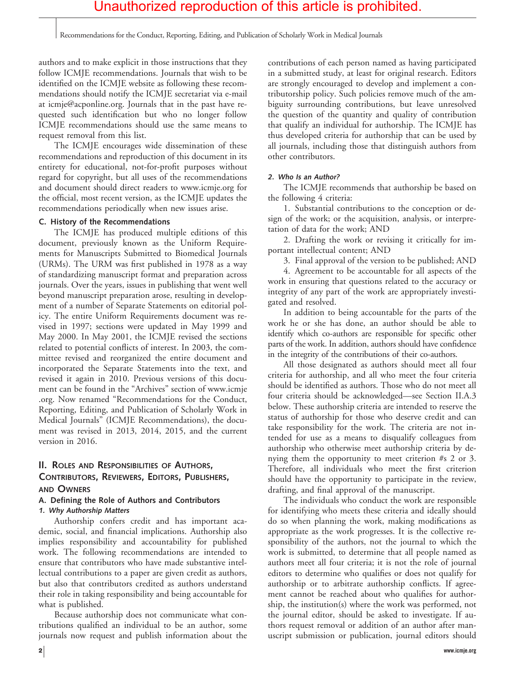authors and to make explicit in those instructions that they follow ICMJE recommendations. Journals that wish to be identified on the ICMJE website as following these recommendations should notify the ICMJE secretariat via e-mail at icmje@acponline.org. Journals that in the past have requested such identification but who no longer follow ICMJE recommendations should use the same means to request removal from this list.

The ICMJE encourages wide dissemination of these recommendations and reproduction of this document in its entirety for educational, not-for-profit purposes without regard for copyright, but all uses of the recommendations and document should direct readers to www.icmje.org for the official, most recent version, as the ICMJE updates the recommendations periodically when new issues arise.

#### **C. History of the Recommendations**

The ICMJE has produced multiple editions of this document, previously known as the Uniform Requirements for Manuscripts Submitted to Biomedical Journals (URMs). The URM was first published in 1978 as a way of standardizing manuscript format and preparation across journals. Over the years, issues in publishing that went well beyond manuscript preparation arose, resulting in development of a number of Separate Statements on editorial policy. The entire Uniform Requirements document was revised in 1997; sections were updated in May 1999 and May 2000. In May 2001, the ICMJE revised the sections related to potential conflicts of interest. In 2003, the committee revised and reorganized the entire document and incorporated the Separate Statements into the text, and revised it again in 2010. Previous versions of this document can be found in the "Archives" section of www.icmje .org. Now renamed "Recommendations for the Conduct, Reporting, Editing, and Publication of Scholarly Work in Medical Journals" (ICMJE Recommendations), the document was revised in 2013, 2014, 2015, and the current version in 2016.

### **II. ROLES AND RESPONSIBILITIES OF AUTHORS, CONTRIBUTORS, REVIEWERS, EDITORS, PUBLISHERS, AND OWNERS**

### **A. Defining the Role of Authors and Contributors**

**1. Why Authorship Matters**

Authorship confers credit and has important academic, social, and financial implications. Authorship also implies responsibility and accountability for published work. The following recommendations are intended to ensure that contributors who have made substantive intellectual contributions to a paper are given credit as authors, but also that contributors credited as authors understand their role in taking responsibility and being accountable for what is published.

Because authorship does not communicate what contributions qualified an individual to be an author, some journals now request and publish information about the contributions of each person named as having participated in a submitted study, at least for original research. Editors are strongly encouraged to develop and implement a contributorship policy. Such policies remove much of the ambiguity surrounding contributions, but leave unresolved the question of the quantity and quality of contribution that qualify an individual for authorship. The ICMJE has thus developed criteria for authorship that can be used by all journals, including those that distinguish authors from other contributors.

### **2. Who Is an Author?**

The ICMJE recommends that authorship be based on the following 4 criteria:

1. Substantial contributions to the conception or design of the work; or the acquisition, analysis, or interpretation of data for the work; AND

2. Drafting the work or revising it critically for important intellectual content; AND

3. Final approval of the version to be published; AND

4. Agreement to be accountable for all aspects of the work in ensuring that questions related to the accuracy or integrity of any part of the work are appropriately investigated and resolved.

In addition to being accountable for the parts of the work he or she has done, an author should be able to identify which co-authors are responsible for specific other parts of the work. In addition, authors should have confidence in the integrity of the contributions of their co-authors.

All those designated as authors should meet all four criteria for authorship, and all who meet the four criteria should be identified as authors. Those who do not meet all four criteria should be acknowledged—see Section II.A.3 below. These authorship criteria are intended to reserve the status of authorship for those who deserve credit and can take responsibility for the work. The criteria are not intended for use as a means to disqualify colleagues from authorship who otherwise meet authorship criteria by denying them the opportunity to meet criterion #s 2 or 3. Therefore, all individuals who meet the first criterion should have the opportunity to participate in the review, drafting, and final approval of the manuscript.

The individuals who conduct the work are responsible for identifying who meets these criteria and ideally should do so when planning the work, making modifications as appropriate as the work progresses. It is the collective responsibility of the authors, not the journal to which the work is submitted, to determine that all people named as authors meet all four criteria; it is not the role of journal editors to determine who qualifies or does not qualify for authorship or to arbitrate authorship conflicts. If agreement cannot be reached about who qualifies for authorship, the institution(s) where the work was performed, not the journal editor, should be asked to investigate. If authors request removal or addition of an author after manuscript submission or publication, journal editors should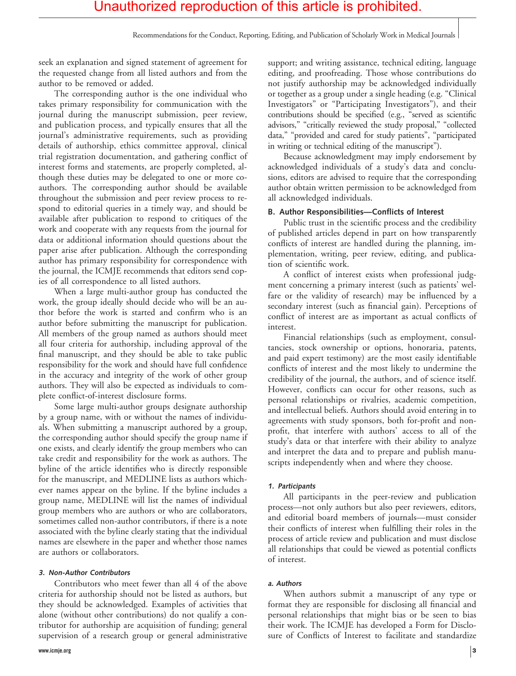seek an explanation and signed statement of agreement for the requested change from all listed authors and from the author to be removed or added.

The corresponding author is the one individual who takes primary responsibility for communication with the journal during the manuscript submission, peer review, and publication process, and typically ensures that all the journal's administrative requirements, such as providing details of authorship, ethics committee approval, clinical trial registration documentation, and gathering conflict of interest forms and statements, are properly completed, although these duties may be delegated to one or more coauthors. The corresponding author should be available throughout the submission and peer review process to respond to editorial queries in a timely way, and should be available after publication to respond to critiques of the work and cooperate with any requests from the journal for data or additional information should questions about the paper arise after publication. Although the corresponding author has primary responsibility for correspondence with the journal, the ICMJE recommends that editors send copies of all correspondence to all listed authors.

When a large multi-author group has conducted the work, the group ideally should decide who will be an author before the work is started and confirm who is an author before submitting the manuscript for publication. All members of the group named as authors should meet all four criteria for authorship, including approval of the final manuscript, and they should be able to take public responsibility for the work and should have full confidence in the accuracy and integrity of the work of other group authors. They will also be expected as individuals to complete conflict-of-interest disclosure forms.

Some large multi-author groups designate authorship by a group name, with or without the names of individuals. When submitting a manuscript authored by a group, the corresponding author should specify the group name if one exists, and clearly identify the group members who can take credit and responsibility for the work as authors. The byline of the article identifies who is directly responsible for the manuscript, and MEDLINE lists as authors whichever names appear on the byline. If the byline includes a group name, MEDLINE will list the names of individual group members who are authors or who are collaborators, sometimes called non-author contributors, if there is a note associated with the byline clearly stating that the individual names are elsewhere in the paper and whether those names are authors or collaborators.

### **3. Non-Author Contributors**

Contributors who meet fewer than all 4 of the above criteria for authorship should not be listed as authors, but they should be acknowledged. Examples of activities that alone (without other contributions) do not qualify a contributor for authorship are acquisition of funding; general supervision of a research group or general administrative support; and writing assistance, technical editing, language editing, and proofreading. Those whose contributions do not justify authorship may be acknowledged individually or together as a group under a single heading (e.g. "Clinical Investigators" or "Participating Investigators"), and their contributions should be specified (e.g., "served as scientific advisors," "critically reviewed the study proposal," "collected data," "provided and cared for study patients", "participated in writing or technical editing of the manuscript").

Because acknowledgment may imply endorsement by acknowledged individuals of a study's data and conclusions, editors are advised to require that the corresponding author obtain written permission to be acknowledged from all acknowledged individuals.

#### **B. Author Responsibilities—Conflicts of Interest**

Public trust in the scientific process and the credibility of published articles depend in part on how transparently conflicts of interest are handled during the planning, implementation, writing, peer review, editing, and publication of scientific work.

A conflict of interest exists when professional judgment concerning a primary interest (such as patients' welfare or the validity of research) may be influenced by a secondary interest (such as financial gain). Perceptions of conflict of interest are as important as actual conflicts of interest.

Financial relationships (such as employment, consultancies, stock ownership or options, honoraria, patents, and paid expert testimony) are the most easily identifiable conflicts of interest and the most likely to undermine the credibility of the journal, the authors, and of science itself. However, conflicts can occur for other reasons, such as personal relationships or rivalries, academic competition, and intellectual beliefs. Authors should avoid entering in to agreements with study sponsors, both for-profit and nonprofit, that interfere with authors' access to all of the study's data or that interfere with their ability to analyze and interpret the data and to prepare and publish manuscripts independently when and where they choose.

#### **1. Participants**

All participants in the peer-review and publication process—not only authors but also peer reviewers, editors, and editorial board members of journals—must consider their conflicts of interest when fulfilling their roles in the process of article review and publication and must disclose all relationships that could be viewed as potential conflicts of interest.

### **a. Authors**

When authors submit a manuscript of any type or format they are responsible for disclosing all financial and personal relationships that might bias or be seen to bias their work. The ICMJE has developed a Form for Disclosure of Conflicts of Interest to facilitate and standardize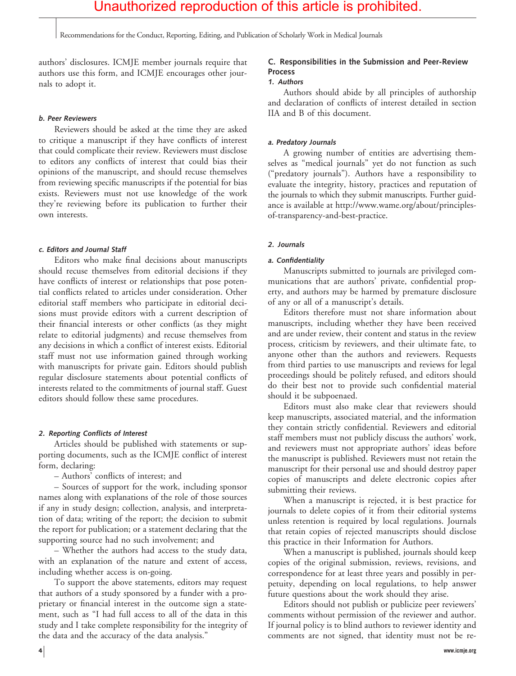authors' disclosures. ICMJE member journals require that authors use this form, and ICMJE encourages other journals to adopt it.

#### **b. Peer Reviewers**

Reviewers should be asked at the time they are asked to critique a manuscript if they have conflicts of interest that could complicate their review. Reviewers must disclose to editors any conflicts of interest that could bias their opinions of the manuscript, and should recuse themselves from reviewing specific manuscripts if the potential for bias exists. Reviewers must not use knowledge of the work they're reviewing before its publication to further their own interests.

#### **c. Editors and Journal Staff**

Editors who make final decisions about manuscripts should recuse themselves from editorial decisions if they have conflicts of interest or relationships that pose potential conflicts related to articles under consideration. Other editorial staff members who participate in editorial decisions must provide editors with a current description of their financial interests or other conflicts (as they might relate to editorial judgments) and recuse themselves from any decisions in which a conflict of interest exists. Editorial staff must not use information gained through working with manuscripts for private gain. Editors should publish regular disclosure statements about potential conflicts of interests related to the commitments of journal staff. Guest editors should follow these same procedures.

#### **2. Reporting Conflicts of Interest**

Articles should be published with statements or supporting documents, such as the ICMJE conflict of interest form, declaring:

– Authors' conflicts of interest; and

– Sources of support for the work, including sponsor names along with explanations of the role of those sources if any in study design; collection, analysis, and interpretation of data; writing of the report; the decision to submit the report for publication; or a statement declaring that the supporting source had no such involvement; and

– Whether the authors had access to the study data, with an explanation of the nature and extent of access, including whether access is on-going.

To support the above statements, editors may request that authors of a study sponsored by a funder with a proprietary or financial interest in the outcome sign a statement, such as "I had full access to all of the data in this study and I take complete responsibility for the integrity of the data and the accuracy of the data analysis."

### **C. Responsibilities in the Submission and Peer-Review Process**

#### **1. Authors**

Authors should abide by all principles of authorship and declaration of conflicts of interest detailed in section IIA and B of this document.

#### **a. Predatory Journals**

A growing number of entities are advertising themselves as "medical journals" yet do not function as such ("predatory journals"). Authors have a responsibility to evaluate the integrity, history, practices and reputation of the journals to which they submit manuscripts. Further guidance is available at [http://www.wame.org/about/principles](http://www.wame.org/about/principles-of-transparency-and-best-practice)[of-transparency-and-best-practice.](http://www.wame.org/about/principles-of-transparency-and-best-practice)

#### **2. Journals**

#### **a. Confidentiality**

Manuscripts submitted to journals are privileged communications that are authors' private, confidential property, and authors may be harmed by premature disclosure of any or all of a manuscript's details.

Editors therefore must not share information about manuscripts, including whether they have been received and are under review, their content and status in the review process, criticism by reviewers, and their ultimate fate, to anyone other than the authors and reviewers. Requests from third parties to use manuscripts and reviews for legal proceedings should be politely refused, and editors should do their best not to provide such confidential material should it be subpoenaed.

Editors must also make clear that reviewers should keep manuscripts, associated material, and the information they contain strictly confidential. Reviewers and editorial staff members must not publicly discuss the authors' work, and reviewers must not appropriate authors' ideas before the manuscript is published. Reviewers must not retain the manuscript for their personal use and should destroy paper copies of manuscripts and delete electronic copies after submitting their reviews.

When a manuscript is rejected, it is best practice for journals to delete copies of it from their editorial systems unless retention is required by local regulations. Journals that retain copies of rejected manuscripts should disclose this practice in their Information for Authors.

When a manuscript is published, journals should keep copies of the original submission, reviews, revisions, and correspondence for at least three years and possibly in perpetuity, depending on local regulations, to help answer future questions about the work should they arise.

Editors should not publish or publicize peer reviewers' comments without permission of the reviewer and author. If journal policy is to blind authors to reviewer identity and comments are not signed, that identity must not be re-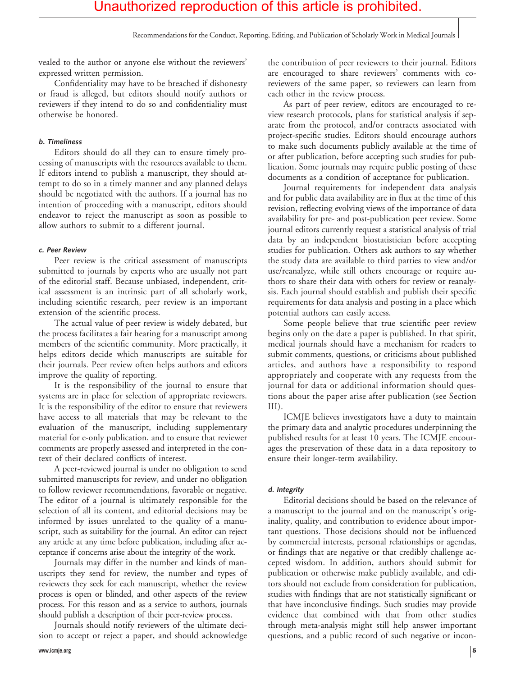vealed to the author or anyone else without the reviewers' expressed written permission.

Confidentiality may have to be breached if dishonesty or fraud is alleged, but editors should notify authors or reviewers if they intend to do so and confidentiality must otherwise be honored.

#### **b. Timeliness**

Editors should do all they can to ensure timely processing of manuscripts with the resources available to them. If editors intend to publish a manuscript, they should attempt to do so in a timely manner and any planned delays should be negotiated with the authors. If a journal has no intention of proceeding with a manuscript, editors should endeavor to reject the manuscript as soon as possible to allow authors to submit to a different journal.

#### **c. Peer Review**

Peer review is the critical assessment of manuscripts submitted to journals by experts who are usually not part of the editorial staff. Because unbiased, independent, critical assessment is an intrinsic part of all scholarly work, including scientific research, peer review is an important extension of the scientific process.

The actual value of peer review is widely debated, but the process facilitates a fair hearing for a manuscript among members of the scientific community. More practically, it helps editors decide which manuscripts are suitable for their journals. Peer review often helps authors and editors improve the quality of reporting.

It is the responsibility of the journal to ensure that systems are in place for selection of appropriate reviewers. It is the responsibility of the editor to ensure that reviewers have access to all materials that may be relevant to the evaluation of the manuscript, including supplementary material for e-only publication, and to ensure that reviewer comments are properly assessed and interpreted in the context of their declared conflicts of interest.

A peer-reviewed journal is under no obligation to send submitted manuscripts for review, and under no obligation to follow reviewer recommendations, favorable or negative. The editor of a journal is ultimately responsible for the selection of all its content, and editorial decisions may be informed by issues unrelated to the quality of a manuscript, such as suitability for the journal. An editor can reject any article at any time before publication, including after acceptance if concerns arise about the integrity of the work.

Journals may differ in the number and kinds of manuscripts they send for review, the number and types of reviewers they seek for each manuscript, whether the review process is open or blinded, and other aspects of the review process. For this reason and as a service to authors, journals should publish a description of their peer-review process.

Journals should notify reviewers of the ultimate decision to accept or reject a paper, and should acknowledge the contribution of peer reviewers to their journal. Editors are encouraged to share reviewers' comments with coreviewers of the same paper, so reviewers can learn from each other in the review process.

As part of peer review, editors are encouraged to review research protocols, plans for statistical analysis if separate from the protocol, and/or contracts associated with project-specific studies. Editors should encourage authors to make such documents publicly available at the time of or after publication, before accepting such studies for publication. Some journals may require public posting of these documents as a condition of acceptance for publication.

Journal requirements for independent data analysis and for public data availability are in flux at the time of this revision, reflecting evolving views of the importance of data availability for pre- and post-publication peer review. Some journal editors currently request a statistical analysis of trial data by an independent biostatistician before accepting studies for publication. Others ask authors to say whether the study data are available to third parties to view and/or use/reanalyze, while still others encourage or require authors to share their data with others for review or reanalysis. Each journal should establish and publish their specific requirements for data analysis and posting in a place which potential authors can easily access.

Some people believe that true scientific peer review begins only on the date a paper is published. In that spirit, medical journals should have a mechanism for readers to submit comments, questions, or criticisms about published articles, and authors have a responsibility to respond appropriately and cooperate with any requests from the journal for data or additional information should questions about the paper arise after publication (see Section III).

ICMJE believes investigators have a duty to maintain the primary data and analytic procedures underpinning the published results for at least 10 years. The ICMJE encourages the preservation of these data in a data repository to ensure their longer-term availability.

#### **d. Integrity**

Editorial decisions should be based on the relevance of a manuscript to the journal and on the manuscript's originality, quality, and contribution to evidence about important questions. Those decisions should not be influenced by commercial interests, personal relationships or agendas, or findings that are negative or that credibly challenge accepted wisdom. In addition, authors should submit for publication or otherwise make publicly available, and editors should not exclude from consideration for publication, studies with findings that are not statistically significant or that have inconclusive findings. Such studies may provide evidence that combined with that from other studies through meta-analysis might still help answer important questions, and a public record of such negative or incon-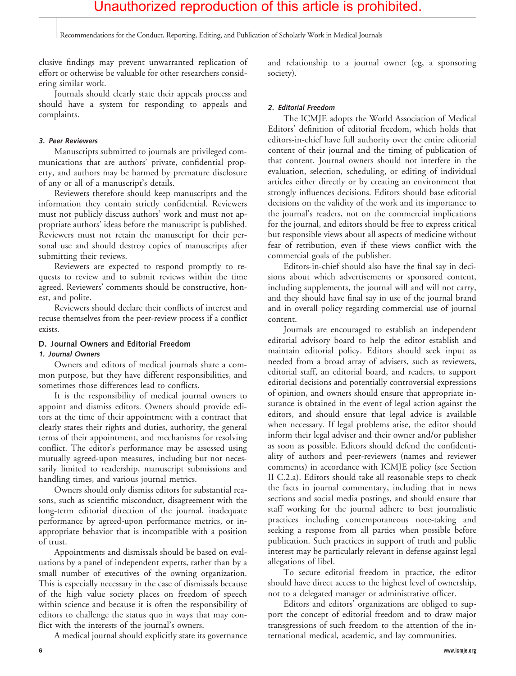clusive findings may prevent unwarranted replication of effort or otherwise be valuable for other researchers considering similar work.

Journals should clearly state their appeals process and should have a system for responding to appeals and complaints.

#### **3. Peer Reviewers**

Manuscripts submitted to journals are privileged communications that are authors' private, confidential property, and authors may be harmed by premature disclosure of any or all of a manuscript's details.

Reviewers therefore should keep manuscripts and the information they contain strictly confidential. Reviewers must not publicly discuss authors' work and must not appropriate authors' ideas before the manuscript is published. Reviewers must not retain the manuscript for their personal use and should destroy copies of manuscripts after submitting their reviews.

Reviewers are expected to respond promptly to requests to review and to submit reviews within the time agreed. Reviewers' comments should be constructive, honest, and polite.

Reviewers should declare their conflicts of interest and recuse themselves from the peer-review process if a conflict exists.

### **D. Journal Owners and Editorial Freedom**

#### **1. Journal Owners**

Owners and editors of medical journals share a common purpose, but they have different responsibilities, and sometimes those differences lead to conflicts.

It is the responsibility of medical journal owners to appoint and dismiss editors. Owners should provide editors at the time of their appointment with a contract that clearly states their rights and duties, authority, the general terms of their appointment, and mechanisms for resolving conflict. The editor's performance may be assessed using mutually agreed-upon measures, including but not necessarily limited to readership, manuscript submissions and handling times, and various journal metrics.

Owners should only dismiss editors for substantial reasons, such as scientific misconduct, disagreement with the long-term editorial direction of the journal, inadequate performance by agreed-upon performance metrics, or inappropriate behavior that is incompatible with a position of trust.

Appointments and dismissals should be based on evaluations by a panel of independent experts, rather than by a small number of executives of the owning organization. This is especially necessary in the case of dismissals because of the high value society places on freedom of speech within science and because it is often the responsibility of editors to challenge the status quo in ways that may conflict with the interests of the journal's owners.

A medical journal should explicitly state its governance

and relationship to a journal owner (eg, a sponsoring society).

#### **2. Editorial Freedom**

The ICMJE adopts the World Association of Medical Editors' definition of editorial freedom, which holds that editors-in-chief have full authority over the entire editorial content of their journal and the timing of publication of that content. Journal owners should not interfere in the evaluation, selection, scheduling, or editing of individual articles either directly or by creating an environment that strongly influences decisions. Editors should base editorial decisions on the validity of the work and its importance to the journal's readers, not on the commercial implications for the journal, and editors should be free to express critical but responsible views about all aspects of medicine without fear of retribution, even if these views conflict with the commercial goals of the publisher.

Editors-in-chief should also have the final say in decisions about which advertisements or sponsored content, including supplements, the journal will and will not carry, and they should have final say in use of the journal brand and in overall policy regarding commercial use of journal content.

Journals are encouraged to establish an independent editorial advisory board to help the editor establish and maintain editorial policy. Editors should seek input as needed from a broad array of advisers, such as reviewers, editorial staff, an editorial board, and readers, to support editorial decisions and potentially controversial expressions of opinion, and owners should ensure that appropriate insurance is obtained in the event of legal action against the editors, and should ensure that legal advice is available when necessary. If legal problems arise, the editor should inform their legal adviser and their owner and/or publisher as soon as possible. Editors should defend the confidentiality of authors and peer-reviewers (names and reviewer comments) in accordance with ICMJE policy (see Section II C.2.a). Editors should take all reasonable steps to check the facts in journal commentary, including that in news sections and social media postings, and should ensure that staff working for the journal adhere to best journalistic practices including contemporaneous note-taking and seeking a response from all parties when possible before publication. Such practices in support of truth and public interest may be particularly relevant in defense against legal allegations of libel.

To secure editorial freedom in practice, the editor should have direct access to the highest level of ownership, not to a delegated manager or administrative officer.

Editors and editors' organizations are obliged to support the concept of editorial freedom and to draw major transgressions of such freedom to the attention of the international medical, academic, and lay communities.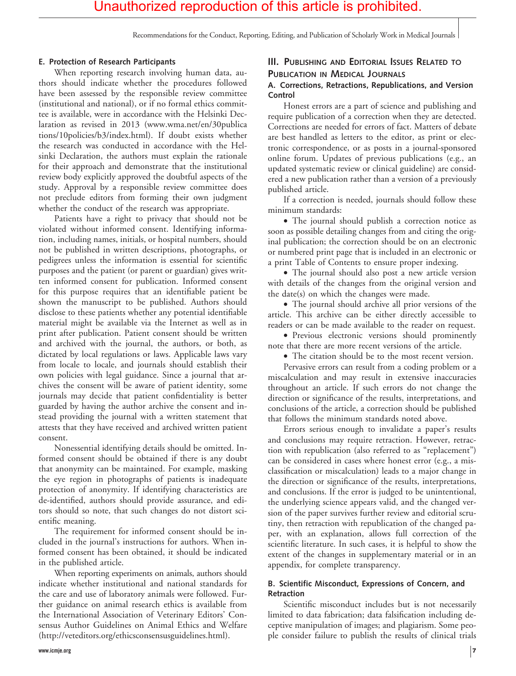#### **E. Protection of Research Participants**

When reporting research involving human data, authors should indicate whether the procedures followed have been assessed by the responsible review committee (institutional and national), or if no formal ethics committee is available, were in accordance with the Helsinki Declaration as revised in 2013 (www.wma.net/en/30publica tions/10policies/b3/index.html). If doubt exists whether the research was conducted in accordance with the Helsinki Declaration, the authors must explain the rationale for their approach and demonstrate that the institutional review body explicitly approved the doubtful aspects of the study. Approval by a responsible review committee does not preclude editors from forming their own judgment whether the conduct of the research was appropriate.

Patients have a right to privacy that should not be violated without informed consent. Identifying information, including names, initials, or hospital numbers, should not be published in written descriptions, photographs, or pedigrees unless the information is essential for scientific purposes and the patient (or parent or guardian) gives written informed consent for publication. Informed consent for this purpose requires that an identifiable patient be shown the manuscript to be published. Authors should disclose to these patients whether any potential identifiable material might be available via the Internet as well as in print after publication. Patient consent should be written and archived with the journal, the authors, or both, as dictated by local regulations or laws. Applicable laws vary from locale to locale, and journals should establish their own policies with legal guidance. Since a journal that archives the consent will be aware of patient identity, some journals may decide that patient confidentiality is better guarded by having the author archive the consent and instead providing the journal with a written statement that attests that they have received and archived written patient consent.

Nonessential identifying details should be omitted. Informed consent should be obtained if there is any doubt that anonymity can be maintained. For example, masking the eye region in photographs of patients is inadequate protection of anonymity. If identifying characteristics are de-identified, authors should provide assurance, and editors should so note, that such changes do not distort scientific meaning.

The requirement for informed consent should be included in the journal's instructions for authors. When informed consent has been obtained, it should be indicated in the published article.

When reporting experiments on animals, authors should indicate whether institutional and national standards for the care and use of laboratory animals were followed. Further guidance on animal research ethics is available from the International Association of Veterinary Editors' Consensus Author Guidelines on Animal Ethics and Welfare (http://veteditors.org/ethicsconsensusguidelines.html).

### **III. PUBLISHING AND EDITORIAL ISSUES RELATED TO PUBLICATION IN MEDICAL JOURNALS**

### **A. Corrections, Retractions, Republications, and Version Control**

Honest errors are a part of science and publishing and require publication of a correction when they are detected. Corrections are needed for errors of fact. Matters of debate are best handled as letters to the editor, as print or electronic correspondence, or as posts in a journal-sponsored online forum. Updates of previous publications (e.g., an updated systematic review or clinical guideline) are considered a new publication rather than a version of a previously published article.

If a correction is needed, journals should follow these minimum standards:

• The journal should publish a correction notice as soon as possible detailing changes from and citing the original publication; the correction should be on an electronic or numbered print page that is included in an electronic or a print Table of Contents to ensure proper indexing.

• The journal should also post a new article version with details of the changes from the original version and the date(s) on which the changes were made.

• The journal should archive all prior versions of the article. This archive can be either directly accessible to readers or can be made available to the reader on request.

• Previous electronic versions should prominently note that there are more recent versions of the article.

• The citation should be to the most recent version.

Pervasive errors can result from a coding problem or a miscalculation and may result in extensive inaccuracies throughout an article. If such errors do not change the direction or significance of the results, interpretations, and conclusions of the article, a correction should be published that follows the minimum standards noted above.

Errors serious enough to invalidate a paper's results and conclusions may require retraction. However, retraction with republication (also referred to as "replacement") can be considered in cases where honest error (e.g., a misclassification or miscalculation) leads to a major change in the direction or significance of the results, interpretations, and conclusions. If the error is judged to be unintentional, the underlying science appears valid, and the changed version of the paper survives further review and editorial scrutiny, then retraction with republication of the changed paper, with an explanation, allows full correction of the scientific literature. In such cases, it is helpful to show the extent of the changes in supplementary material or in an appendix, for complete transparency.

### **B. Scientific Misconduct, Expressions of Concern, and Retraction**

Scientific misconduct includes but is not necessarily limited to data fabrication; data falsification including deceptive manipulation of images; and plagiarism. Some people consider failure to publish the results of clinical trials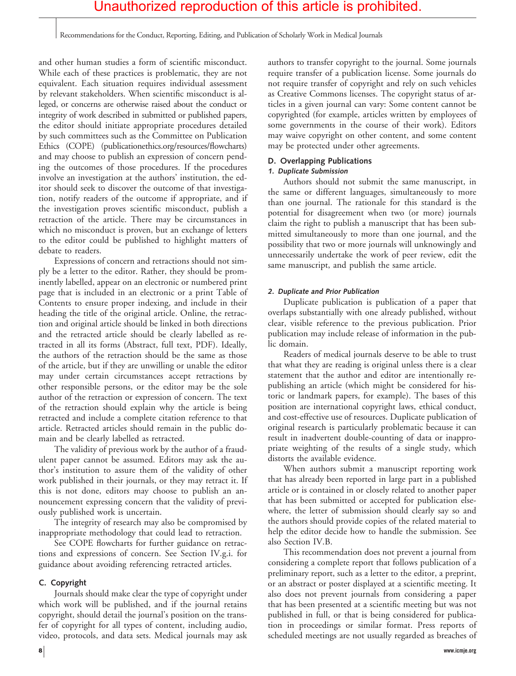# Unauthorized reproduction of this article is prohibited.

Recommendations for the Conduct, Reporting, Editing, and Publication of Scholarly Work in Medical Journals

and other human studies a form of scientific misconduct. While each of these practices is problematic, they are not equivalent. Each situation requires individual assessment by relevant stakeholders. When scientific misconduct is alleged, or concerns are otherwise raised about the conduct or integrity of work described in submitted or published papers, the editor should initiate appropriate procedures detailed by such committees such as the Committee on Publication Ethics (COPE) (publicationethics.org/resources/flowcharts) and may choose to publish an expression of concern pending the outcomes of those procedures. If the procedures involve an investigation at the authors' institution, the editor should seek to discover the outcome of that investigation, notify readers of the outcome if appropriate, and if the investigation proves scientific misconduct, publish a retraction of the article. There may be circumstances in which no misconduct is proven, but an exchange of letters to the editor could be published to highlight matters of debate to readers.

Expressions of concern and retractions should not simply be a letter to the editor. Rather, they should be prominently labelled, appear on an electronic or numbered print page that is included in an electronic or a print Table of Contents to ensure proper indexing, and include in their heading the title of the original article. Online, the retraction and original article should be linked in both directions and the retracted article should be clearly labelled as retracted in all its forms (Abstract, full text, PDF). Ideally, the authors of the retraction should be the same as those of the article, but if they are unwilling or unable the editor may under certain circumstances accept retractions by other responsible persons, or the editor may be the sole author of the retraction or expression of concern. The text of the retraction should explain why the article is being retracted and include a complete citation reference to that article. Retracted articles should remain in the public domain and be clearly labelled as retracted.

The validity of previous work by the author of a fraudulent paper cannot be assumed. Editors may ask the author's institution to assure them of the validity of other work published in their journals, or they may retract it. If this is not done, editors may choose to publish an announcement expressing concern that the validity of previously published work is uncertain.

The integrity of research may also be compromised by inappropriate methodology that could lead to retraction.

See COPE flowcharts for further guidance on retractions and expressions of concern. See Section IV.g.i. for guidance about avoiding referencing retracted articles.

#### **C. Copyright**

Journals should make clear the type of copyright under which work will be published, and if the journal retains copyright, should detail the journal's position on the transfer of copyright for all types of content, including audio, video, protocols, and data sets. Medical journals may ask authors to transfer copyright to the journal. Some journals require transfer of a publication license. Some journals do not require transfer of copyright and rely on such vehicles as Creative Commons licenses. The copyright status of articles in a given journal can vary: Some content cannot be copyrighted (for example, articles written by employees of some governments in the course of their work). Editors may waive copyright on other content, and some content may be protected under other agreements.

### **D. Overlapping Publications**

### **1. Duplicate Submission**

Authors should not submit the same manuscript, in the same or different languages, simultaneously to more than one journal. The rationale for this standard is the potential for disagreement when two (or more) journals claim the right to publish a manuscript that has been submitted simultaneously to more than one journal, and the possibility that two or more journals will unknowingly and unnecessarily undertake the work of peer review, edit the same manuscript, and publish the same article.

#### **2. Duplicate and Prior Publication**

Duplicate publication is publication of a paper that overlaps substantially with one already published, without clear, visible reference to the previous publication. Prior publication may include release of information in the public domain.

Readers of medical journals deserve to be able to trust that what they are reading is original unless there is a clear statement that the author and editor are intentionally republishing an article (which might be considered for historic or landmark papers, for example). The bases of this position are international copyright laws, ethical conduct, and cost-effective use of resources. Duplicate publication of original research is particularly problematic because it can result in inadvertent double-counting of data or inappropriate weighting of the results of a single study, which distorts the available evidence.

When authors submit a manuscript reporting work that has already been reported in large part in a published article or is contained in or closely related to another paper that has been submitted or accepted for publication elsewhere, the letter of submission should clearly say so and the authors should provide copies of the related material to help the editor decide how to handle the submission. See also Section IV.B.

This recommendation does not prevent a journal from considering a complete report that follows publication of a preliminary report, such as a letter to the editor, a preprint, or an abstract or poster displayed at a scientific meeting. It also does not prevent journals from considering a paper that has been presented at a scientific meeting but was not published in full, or that is being considered for publication in proceedings or similar format. Press reports of scheduled meetings are not usually regarded as breaches of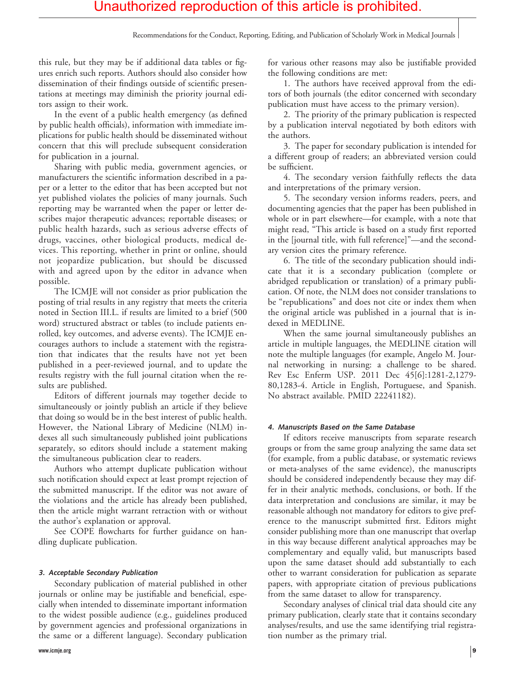this rule, but they may be if additional data tables or figures enrich such reports. Authors should also consider how dissemination of their findings outside of scientific presentations at meetings may diminish the priority journal editors assign to their work.

In the event of a public health emergency (as defined by public health officials), information with immediate implications for public health should be disseminated without concern that this will preclude subsequent consideration for publication in a journal.

Sharing with public media, government agencies, or manufacturers the scientific information described in a paper or a letter to the editor that has been accepted but not yet published violates the policies of many journals. Such reporting may be warranted when the paper or letter describes major therapeutic advances; reportable diseases; or public health hazards, such as serious adverse effects of drugs, vaccines, other biological products, medical devices. This reporting, whether in print or online, should not jeopardize publication, but should be discussed with and agreed upon by the editor in advance when possible.

The ICMJE will not consider as prior publication the posting of trial results in any registry that meets the criteria noted in Section III.L. if results are limited to a brief (500 word) structured abstract or tables (to include patients enrolled, key outcomes, and adverse events). The ICMJE encourages authors to include a statement with the registration that indicates that the results have not yet been published in a peer-reviewed journal, and to update the results registry with the full journal citation when the results are published.

Editors of different journals may together decide to simultaneously or jointly publish an article if they believe that doing so would be in the best interest of public health. However, the National Library of Medicine (NLM) indexes all such simultaneously published joint publications separately, so editors should include a statement making the simultaneous publication clear to readers.

Authors who attempt duplicate publication without such notification should expect at least prompt rejection of the submitted manuscript. If the editor was not aware of the violations and the article has already been published, then the article might warrant retraction with or without the author's explanation or approval.

See COPE flowcharts for further guidance on handling duplicate publication.

#### **3. Acceptable Secondary Publication**

Secondary publication of material published in other journals or online may be justifiable and beneficial, especially when intended to disseminate important information to the widest possible audience (e.g., guidelines produced by government agencies and professional organizations in the same or a different language). Secondary publication for various other reasons may also be justifiable provided the following conditions are met:

1. The authors have received approval from the editors of both journals (the editor concerned with secondary publication must have access to the primary version).

2. The priority of the primary publication is respected by a publication interval negotiated by both editors with the authors.

3. The paper for secondary publication is intended for a different group of readers; an abbreviated version could be sufficient.

4. The secondary version faithfully reflects the data and interpretations of the primary version.

5. The secondary version informs readers, peers, and documenting agencies that the paper has been published in whole or in part elsewhere—for example, with a note that might read, "This article is based on a study first reported in the [journal title, with full reference]"—and the secondary version cites the primary reference.

6. The title of the secondary publication should indicate that it is a secondary publication (complete or abridged republication or translation) of a primary publication. Of note, the NLM does not consider translations to be "republications" and does not cite or index them when the original article was published in a journal that is indexed in MEDLINE.

When the same journal simultaneously publishes an article in multiple languages, the MEDLINE citation will note the multiple languages (for example, Angelo M. Journal networking in nursing: a challenge to be shared. Rev Esc Enferm USP. 2011 Dec 45[6]:1281-2,1279- 80,1283-4. Article in English, Portuguese, and Spanish. No abstract available. PMID 22241182).

#### **4. Manuscripts Based on the Same Database**

If editors receive manuscripts from separate research groups or from the same group analyzing the same data set (for example, from a public database, or systematic reviews or meta-analyses of the same evidence), the manuscripts should be considered independently because they may differ in their analytic methods, conclusions, or both. If the data interpretation and conclusions are similar, it may be reasonable although not mandatory for editors to give preference to the manuscript submitted first. Editors might consider publishing more than one manuscript that overlap in this way because different analytical approaches may be complementary and equally valid, but manuscripts based upon the same dataset should add substantially to each other to warrant consideration for publication as separate papers, with appropriate citation of previous publications from the same dataset to allow for transparency.

Secondary analyses of clinical trial data should cite any primary publication, clearly state that it contains secondary analyses/results, and use the same identifying trial registration number as the primary trial.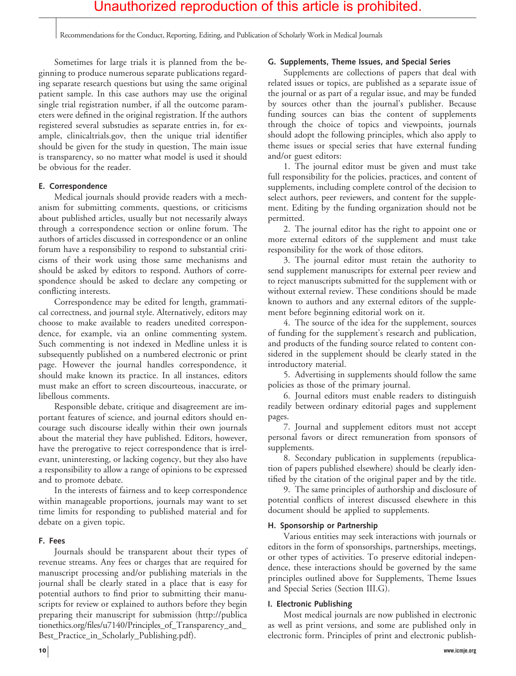Sometimes for large trials it is planned from the beginning to produce numerous separate publications regarding separate research questions but using the same original patient sample. In this case authors may use the original single trial registration number, if all the outcome parameters were defined in the original registration. If the authors registered several substudies as separate entries in, for example, clinicaltrials.gov, then the unique trial identifier should be given for the study in question, The main issue is transparency, so no matter what model is used it should be obvious for the reader.

### **E. Correspondence**

Medical journals should provide readers with a mechanism for submitting comments, questions, or criticisms about published articles, usually but not necessarily always through a correspondence section or online forum. The authors of articles discussed in correspondence or an online forum have a responsibility to respond to substantial criticisms of their work using those same mechanisms and should be asked by editors to respond. Authors of correspondence should be asked to declare any competing or conflicting interests.

Correspondence may be edited for length, grammatical correctness, and journal style. Alternatively, editors may choose to make available to readers unedited correspondence, for example, via an online commenting system. Such commenting is not indexed in Medline unless it is subsequently published on a numbered electronic or print page. However the journal handles correspondence, it should make known its practice. In all instances, editors must make an effort to screen discourteous, inaccurate, or libellous comments.

Responsible debate, critique and disagreement are important features of science, and journal editors should encourage such discourse ideally within their own journals about the material they have published. Editors, however, have the prerogative to reject correspondence that is irrelevant, uninteresting, or lacking cogency, but they also have a responsibility to allow a range of opinions to be expressed and to promote debate.

In the interests of fairness and to keep correspondence within manageable proportions, journals may want to set time limits for responding to published material and for debate on a given topic.

#### **F. Fees**

Journals should be transparent about their types of revenue streams. Any fees or charges that are required for manuscript processing and/or publishing materials in the journal shall be clearly stated in a place that is easy for potential authors to find prior to submitting their manuscripts for review or explained to authors before they begin preparing their manuscript for submission (http://publica tionethics.org/files/u7140/Principles\_of\_Transparency\_and\_ Best\_Practice\_in\_Scholarly\_Publishing.pdf).

### **G. Supplements, Theme Issues, and Special Series**

Supplements are collections of papers that deal with related issues or topics, are published as a separate issue of the journal or as part of a regular issue, and may be funded by sources other than the journal's publisher. Because funding sources can bias the content of supplements through the choice of topics and viewpoints, journals should adopt the following principles, which also apply to theme issues or special series that have external funding and/or guest editors:

1. The journal editor must be given and must take full responsibility for the policies, practices, and content of supplements, including complete control of the decision to select authors, peer reviewers, and content for the supplement. Editing by the funding organization should not be permitted.

2. The journal editor has the right to appoint one or more external editors of the supplement and must take responsibility for the work of those editors.

3. The journal editor must retain the authority to send supplement manuscripts for external peer review and to reject manuscripts submitted for the supplement with or without external review. These conditions should be made known to authors and any external editors of the supplement before beginning editorial work on it.

4. The source of the idea for the supplement, sources of funding for the supplement's research and publication, and products of the funding source related to content considered in the supplement should be clearly stated in the introductory material.

5. Advertising in supplements should follow the same policies as those of the primary journal.

6. Journal editors must enable readers to distinguish readily between ordinary editorial pages and supplement pages.

7. Journal and supplement editors must not accept personal favors or direct remuneration from sponsors of supplements.

8. Secondary publication in supplements (republication of papers published elsewhere) should be clearly identified by the citation of the original paper and by the title.

9. The same principles of authorship and disclosure of potential conflicts of interest discussed elsewhere in this document should be applied to supplements.

### **H. Sponsorship or Partnership**

Various entities may seek interactions with journals or editors in the form of sponsorships, partnerships, meetings, or other types of activities. To preserve editorial independence, these interactions should be governed by the same principles outlined above for Supplements, Theme Issues and Special Series (Section III.G).

#### **I. Electronic Publishing**

Most medical journals are now published in electronic as well as print versions, and some are published only in electronic form. Principles of print and electronic publish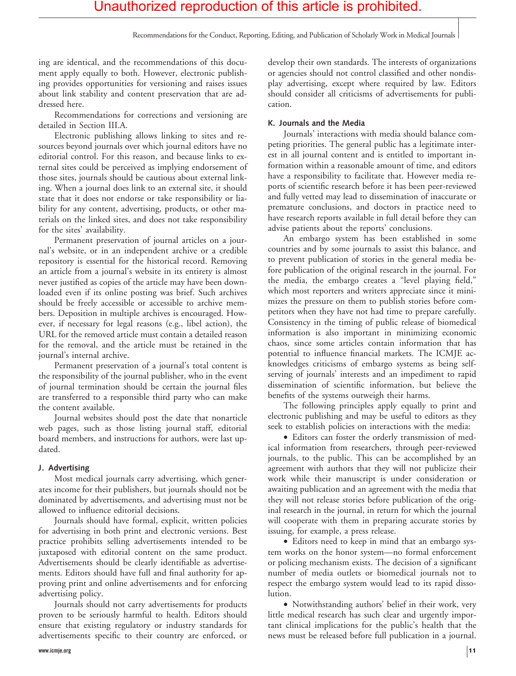ing are identical, and the recommendations of this document apply equally to both. However, electronic publishing provides opportunities for versioning and raises issues about link stability and content preservation that are addressed here.

Recommendations for corrections and versioning are detailed in Section III.A.

Electronic publishing allows linking to sites and resources beyond journals over which journal editors have no editorial control. For this reason, and because links to external sites could be perceived as implying endorsement of those sites, journals should be cautious about external linking. When a journal does link to an external site, it should state that it does not endorse or take responsibility or liability for any content, advertising, products, or other materials on the linked sites, and does not take responsibility for the sites' availability.

Permanent preservation of journal articles on a journal's website, or in an independent archive or a credible repository is essential for the historical record. Removing an article from a journal's website in its entirety is almost never justified as copies of the article may have been downloaded even if its online posting was brief. Such archives should be freely accessible or accessible to archive members. Deposition in multiple archives is encouraged. However, if necessary for legal reasons (e.g., libel action), the URL for the removed article must contain a detailed reason for the removal, and the article must be retained in the journal's internal archive.

Permanent preservation of a journal's total content is the responsibility of the journal publisher, who in the event of journal termination should be certain the journal files are transferred to a responsible third party who can make the content available.

Journal websites should post the date that nonarticle web pages, such as those listing journal staff, editorial board members, and instructions for authors, were last updated.

#### **J. Advertising**

Most medical journals carry advertising, which generates income for their publishers, but journals should not be dominated by advertisements, and advertising must not be allowed to influence editorial decisions.

Journals should have formal, explicit, written policies for advertising in both print and electronic versions. Best practice prohibits selling advertisements intended to be juxtaposed with editorial content on the same product. Advertisements should be clearly identifiable as advertisements. Editors should have full and final authority for approving print and online advertisements and for enforcing advertising policy.

Journals should not carry advertisements for products proven to be seriously harmful to health. Editors should ensure that existing regulatory or industry standards for advertisements specific to their country are enforced, or develop their own standards. The interests of organizations or agencies should not control classified and other nondisplay advertising, except where required by law. Editors should consider all criticisms of advertisements for publication.

#### **K. Journals and the Media**

Journals' interactions with media should balance competing priorities. The general public has a legitimate interest in all journal content and is entitled to important information within a reasonable amount of time, and editors have a responsibility to facilitate that. However media reports of scientific research before it has been peer-reviewed and fully vetted may lead to dissemination of inaccurate or premature conclusions, and doctors in practice need to have research reports available in full detail before they can advise patients about the reports' conclusions.

An embargo system has been established in some countries and by some journals to assist this balance, and to prevent publication of stories in the general media before publication of the original research in the journal. For the media, the embargo creates a "level playing field," which most reporters and writers appreciate since it minimizes the pressure on them to publish stories before competitors when they have not had time to prepare carefully. Consistency in the timing of public release of biomedical information is also important in minimizing economic chaos, since some articles contain information that has potential to influence financial markets. The ICMJE acknowledges criticisms of embargo systems as being selfserving of journals' interests and an impediment to rapid dissemination of scientific information, but believe the benefits of the systems outweigh their harms.

The following principles apply equally to print and electronic publishing and may be useful to editors as they seek to establish policies on interactions with the media:

• Editors can foster the orderly transmission of medical information from researchers, through peer-reviewed journals, to the public. This can be accomplished by an agreement with authors that they will not publicize their work while their manuscript is under consideration or awaiting publication and an agreement with the media that they will not release stories before publication of the original research in the journal, in return for which the journal will cooperate with them in preparing accurate stories by issuing, for example, a press release.

• Editors need to keep in mind that an embargo system works on the honor system—no formal enforcement or policing mechanism exists. The decision of a significant number of media outlets or biomedical journals not to respect the embargo system would lead to its rapid dissolution.

• Notwithstanding authors' belief in their work, very little medical research has such clear and urgently important clinical implications for the public's health that the news must be released before full publication in a journal.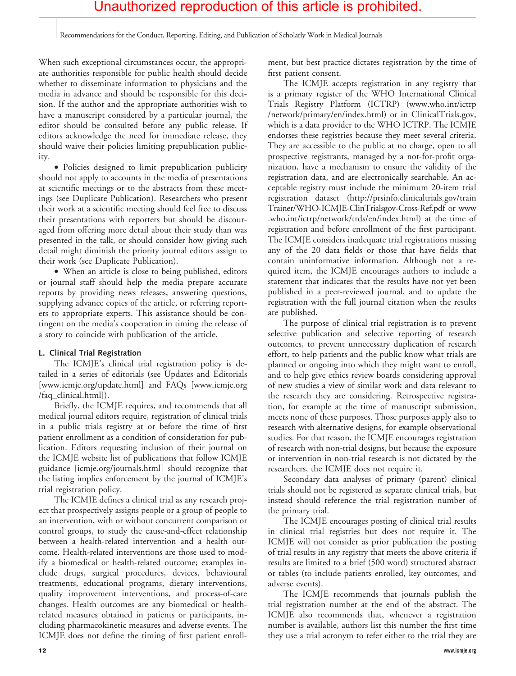# Unauthorized reproduction of this article is prohibited.

Recommendations for the Conduct, Reporting, Editing, and Publication of Scholarly Work in Medical Journals

When such exceptional circumstances occur, the appropriate authorities responsible for public health should decide whether to disseminate information to physicians and the media in advance and should be responsible for this decision. If the author and the appropriate authorities wish to have a manuscript considered by a particular journal, the editor should be consulted before any public release. If editors acknowledge the need for immediate release, they should waive their policies limiting prepublication publicity.

• Policies designed to limit prepublication publicity should not apply to accounts in the media of presentations at scientific meetings or to the abstracts from these meetings (see Duplicate Publication). Researchers who present their work at a scientific meeting should feel free to discuss their presentations with reporters but should be discouraged from offering more detail about their study than was presented in the talk, or should consider how giving such detail might diminish the priority journal editors assign to their work (see Duplicate Publication).

• When an article is close to being published, editors or journal staff should help the media prepare accurate reports by providing news releases, answering questions, supplying advance copies of the article, or referring reporters to appropriate experts. This assistance should be contingent on the media's cooperation in timing the release of a story to coincide with publication of the article.

### **L. Clinical Trial Registration**

The ICMJE's clinical trial registration policy is detailed in a series of editorials (see Updates and Editorials [www.icmje.org/update.html] and FAQs [www.icmje.org /faq\_clinical.html]).

Briefly, the ICMJE requires, and recommends that all medical journal editors require, registration of clinical trials in a public trials registry at or before the time of first patient enrollment as a condition of consideration for publication. Editors requesting inclusion of their journal on the ICMJE website list of publications that follow ICMJE guidance [icmje.org/journals.html] should recognize that the listing implies enforcement by the journal of ICMJE's trial registration policy.

The ICMJE defines a clinical trial as any research project that prospectively assigns people or a group of people to an intervention, with or without concurrent comparison or control groups, to study the cause-and-effect relationship between a health-related intervention and a health outcome. Health-related interventions are those used to modify a biomedical or health-related outcome; examples include drugs, surgical procedures, devices, behavioural treatments, educational programs, dietary interventions, quality improvement interventions, and process-of-care changes. Health outcomes are any biomedical or healthrelated measures obtained in patients or participants, including pharmacokinetic measures and adverse events. The ICMJE does not define the timing of first patient enrollment, but best practice dictates registration by the time of first patient consent.

The ICMJE accepts registration in any registry that is a primary register of the WHO International Clinical Trials Registry Platform (ICTRP) (www.who.int/ictrp /network/primary/en/index.html) or in ClinicalTrials.gov, which is a data provider to the WHO ICTRP. The ICMJE endorses these registries because they meet several criteria. They are accessible to the public at no charge, open to all prospective registrants, managed by a not-for-profit organization, have a mechanism to ensure the validity of the registration data, and are electronically searchable. An acceptable registry must include the minimum 20-item trial registration dataset (http://prsinfo.clinicaltrials.gov/train Trainer/WHO-ICMJE-ClinTrialsgov-Cross-Ref.pdf or www .who.int/ictrp/network/trds/en/index.html) at the time of registration and before enrollment of the first participant. The ICMJE considers inadequate trial registrations missing any of the 20 data fields or those that have fields that contain uninformative information. Although not a required item, the ICMJE encourages authors to include a statement that indicates that the results have not yet been published in a peer-reviewed journal, and to update the registration with the full journal citation when the results are published.

The purpose of clinical trial registration is to prevent selective publication and selective reporting of research outcomes, to prevent unnecessary duplication of research effort, to help patients and the public know what trials are planned or ongoing into which they might want to enroll, and to help give ethics review boards considering approval of new studies a view of similar work and data relevant to the research they are considering. Retrospective registration, for example at the time of manuscript submission, meets none of these purposes. Those purposes apply also to research with alternative designs, for example observational studies. For that reason, the ICMJE encourages registration of research with non-trial designs, but because the exposure or intervention in non-trial research is not dictated by the researchers, the ICMJE does not require it.

Secondary data analyses of primary (parent) clinical trials should not be registered as separate clinical trials, but instead should reference the trial registration number of the primary trial.

The ICMJE encourages posting of clinical trial results in clinical trial registries but does not require it. The ICMJE will not consider as prior publication the posting of trial results in any registry that meets the above criteria if results are limited to a brief (500 word) structured abstract or tables (to include patients enrolled, key outcomes, and adverse events).

The ICMJE recommends that journals publish the trial registration number at the end of the abstract. The ICMJE also recommends that, whenever a registration number is available, authors list this number the first time they use a trial acronym to refer either to the trial they are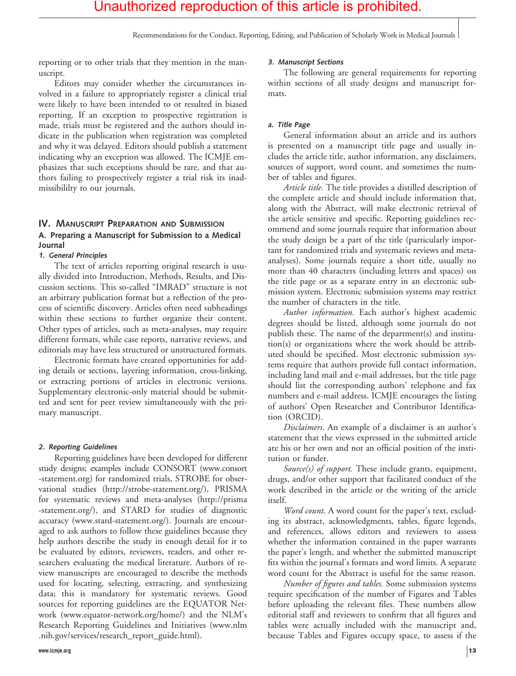reporting or to other trials that they mention in the manuscript.

Editors may consider whether the circumstances involved in a failure to appropriately register a clinical trial were likely to have been intended to or resulted in biased reporting. If an exception to prospective registration is made, trials must be registered and the authors should indicate in the publication when registration was completed and why it was delayed. Editors should publish a statement indicating why an exception was allowed. The ICMJE emphasizes that such exceptions should be rare, and that authors failing to prospectively register a trial risk its inadmissibililty to our journals.

### **IV. MANUSCRIPT PREPARATION AND SUBMISSION A. Preparing a Manuscript for Submission to a Medical Journal**

#### **1. General Principles**

The text of articles reporting original research is usually divided into Introduction, Methods, Results, and Discussion sections. This so-called "IMRAD" structure is not an arbitrary publication format but a reflection of the process of scientific discovery. Articles often need subheadings within these sections to further organize their content. Other types of articles, such as meta-analyses, may require different formats, while case reports, narrative reviews, and editorials may have less structured or unstructured formats.

Electronic formats have created opportunities for adding details or sections, layering information, cross-linking, or extracting portions of articles in electronic versions. Supplementary electronic-only material should be submitted and sent for peer review simultaneously with the primary manuscript.

#### **2. Reporting Guidelines**

Reporting guidelines have been developed for different study designs; examples include CONSORT (www.consort -statement.org) for randomized trials, STROBE for observational studies (http://strobe-statement.org/), PRISMA for systematic reviews and meta-analyses (http://prisma -statement.org/), and STARD for studies of diagnostic accuracy (www.stard-statement.org/). Journals are encouraged to ask authors to follow these guidelines because they help authors describe the study in enough detail for it to be evaluated by editors, reviewers, readers, and other researchers evaluating the medical literature. Authors of review manuscripts are encouraged to describe the methods used for locating, selecting, extracting, and synthesizing data; this is mandatory for systematic reviews. Good sources for reporting guidelines are the EQUATOR Network (www.equator-network.org/home/) and the NLM's Research Reporting Guidelines and Initiatives (www.nlm .nih.gov/services/research\_report\_guide.html).

#### **www.icmje.org 13**

#### **3. Manuscript Sections**

The following are general requirements for reporting within sections of all study designs and manuscript formats.

#### **a. Title Page**

General information about an article and its authors is presented on a manuscript title page and usually includes the article title, author information, any disclaimers, sources of support, word count, and sometimes the number of tables and figures.

*Article title.* The title provides a distilled description of the complete article and should include information that, along with the Abstract, will make electronic retrieval of the article sensitive and specific. Reporting guidelines recommend and some journals require that information about the study design be a part of the title (particularly important for randomized trials and systematic reviews and metaanalyses). Some journals require a short title, usually no more than 40 characters (including letters and spaces) on the title page or as a separate entry in an electronic submission system. Electronic submission systems may restrict the number of characters in the title.

*Author information.* Each author's highest academic degrees should be listed, although some journals do not publish these. The name of the department(s) and institution(s) or organizations where the work should be attributed should be specified. Most electronic submission systems require that authors provide full contact information, including land mail and e-mail addresses, but the title page should list the corresponding authors' telephone and fax numbers and e-mail address. ICMJE encourages the listing of authors' Open Researcher and Contributor Identification (ORCID).

*Disclaimers*. An example of a disclaimer is an author's statement that the views expressed in the submitted article are his or her own and not an official position of the institution or funder.

*Source(s) of support.* These include grants, equipment, drugs, and/or other support that facilitated conduct of the work described in the article or the writing of the article itself.

*Word count.* A word count for the paper's text, excluding its abstract, acknowledgments, tables, figure legends, and references, allows editors and reviewers to assess whether the information contained in the paper warrants the paper's length, and whether the submitted manuscript fits within the journal's formats and word limits. A separate word count for the Abstract is useful for the same reason.

*Number of figures and tables.* Some submission systems require specification of the number of Figures and Tables before uploading the relevant files. These numbers allow editorial staff and reviewers to confirm that all figures and tables were actually included with the manuscript and, because Tables and Figures occupy space, to assess if the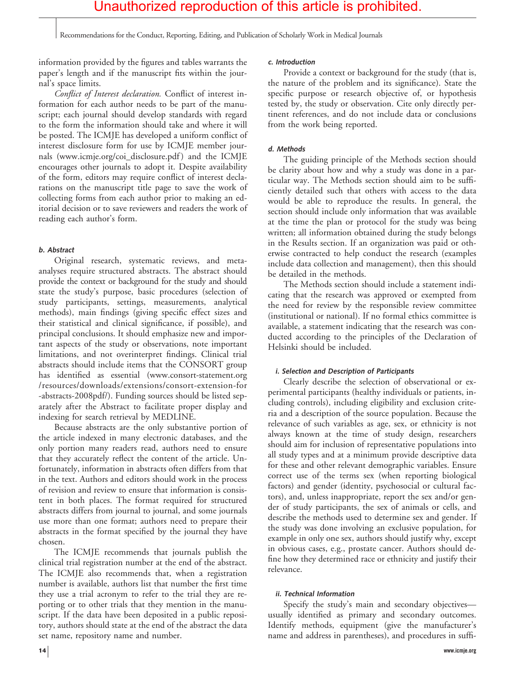information provided by the figures and tables warrants the paper's length and if the manuscript fits within the journal's space limits.

*Conflict of Interest declaration.* Conflict of interest information for each author needs to be part of the manuscript; each journal should develop standards with regard to the form the information should take and where it will be posted. The ICMJE has developed a uniform conflict of interest disclosure form for use by ICMJE member journals (www.icmje.org/coi\_disclosure.pdf) and the ICMJE encourages other journals to adopt it. Despite availability of the form, editors may require conflict of interest declarations on the manuscript title page to save the work of collecting forms from each author prior to making an editorial decision or to save reviewers and readers the work of reading each author's form.

### **b. Abstract**

Original research, systematic reviews, and metaanalyses require structured abstracts. The abstract should provide the context or background for the study and should state the study's purpose, basic procedures (selection of study participants, settings, measurements, analytical methods), main findings (giving specific effect sizes and their statistical and clinical significance, if possible), and principal conclusions. It should emphasize new and important aspects of the study or observations, note important limitations, and not overinterpret findings. Clinical trial abstracts should include items that the CONSORT group has identified as essential (www.consort-statement.org /resources/downloads/extensions/consort-extension-for -abstracts-2008pdf/). Funding sources should be listed separately after the Abstract to facilitate proper display and indexing for search retrieval by MEDLINE.

Because abstracts are the only substantive portion of the article indexed in many electronic databases, and the only portion many readers read, authors need to ensure that they accurately reflect the content of the article. Unfortunately, information in abstracts often differs from that in the text. Authors and editors should work in the process of revision and review to ensure that information is consistent in both places. The format required for structured abstracts differs from journal to journal, and some journals use more than one format; authors need to prepare their abstracts in the format specified by the journal they have chosen.

The ICMJE recommends that journals publish the clinical trial registration number at the end of the abstract. The ICMJE also recommends that, when a registration number is available, authors list that number the first time they use a trial acronym to refer to the trial they are reporting or to other trials that they mention in the manuscript. If the data have been deposited in a public repository, authors should state at the end of the abstract the data set name, repository name and number.

### **c. Introduction**

Provide a context or background for the study (that is, the nature of the problem and its significance). State the specific purpose or research objective of, or hypothesis tested by, the study or observation. Cite only directly pertinent references, and do not include data or conclusions from the work being reported.

### **d. Methods**

The guiding principle of the Methods section should be clarity about how and why a study was done in a particular way. The Methods section should aim to be sufficiently detailed such that others with access to the data would be able to reproduce the results. In general, the section should include only information that was available at the time the plan or protocol for the study was being written; all information obtained during the study belongs in the Results section. If an organization was paid or otherwise contracted to help conduct the research (examples include data collection and management), then this should be detailed in the methods.

The Methods section should include a statement indicating that the research was approved or exempted from the need for review by the responsible review committee (institutional or national). If no formal ethics committee is available, a statement indicating that the research was conducted according to the principles of the Declaration of Helsinki should be included.

### **i. Selection and Description of Participants**

Clearly describe the selection of observational or experimental participants (healthy individuals or patients, including controls), including eligibility and exclusion criteria and a description of the source population. Because the relevance of such variables as age, sex, or ethnicity is not always known at the time of study design, researchers should aim for inclusion of representative populations into all study types and at a minimum provide descriptive data for these and other relevant demographic variables. Ensure correct use of the terms sex (when reporting biological factors) and gender (identity, psychosocial or cultural factors), and, unless inappropriate, report the sex and/or gender of study participants, the sex of animals or cells, and describe the methods used to determine sex and gender. If the study was done involving an exclusive population, for example in only one sex, authors should justify why, except in obvious cases, e.g., prostate cancer. Authors should define how they determined race or ethnicity and justify their relevance.

### **ii. Technical Information**

Specify the study's main and secondary objectives usually identified as primary and secondary outcomes. Identify methods, equipment (give the manufacturer's name and address in parentheses), and procedures in suffi-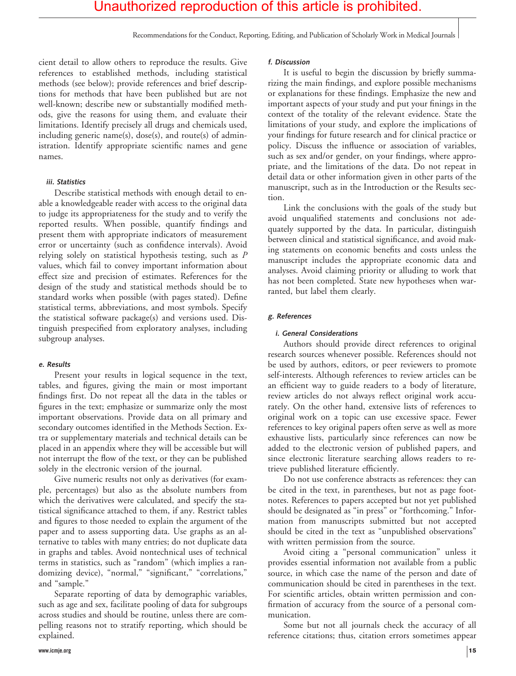cient detail to allow others to reproduce the results. Give references to established methods, including statistical methods (see below); provide references and brief descriptions for methods that have been published but are not well-known; describe new or substantially modified methods, give the reasons for using them, and evaluate their limitations. Identify precisely all drugs and chemicals used, including generic name(s), dose(s), and route(s) of administration. Identify appropriate scientific names and gene names.

#### **iii. Statistics**

Describe statistical methods with enough detail to enable a knowledgeable reader with access to the original data to judge its appropriateness for the study and to verify the reported results. When possible, quantify findings and present them with appropriate indicators of measurement error or uncertainty (such as confidence intervals). Avoid relying solely on statistical hypothesis testing, such as *P* values, which fail to convey important information about effect size and precision of estimates. References for the design of the study and statistical methods should be to standard works when possible (with pages stated). Define statistical terms, abbreviations, and most symbols. Specify the statistical software package(s) and versions used. Distinguish prespecified from exploratory analyses, including subgroup analyses.

#### **e. Results**

Present your results in logical sequence in the text, tables, and figures, giving the main or most important findings first. Do not repeat all the data in the tables or figures in the text; emphasize or summarize only the most important observations. Provide data on all primary and secondary outcomes identified in the Methods Section. Extra or supplementary materials and technical details can be placed in an appendix where they will be accessible but will not interrupt the flow of the text, or they can be published solely in the electronic version of the journal.

Give numeric results not only as derivatives (for example, percentages) but also as the absolute numbers from which the derivatives were calculated, and specify the statistical significance attached to them, if any. Restrict tables and figures to those needed to explain the argument of the paper and to assess supporting data. Use graphs as an alternative to tables with many entries; do not duplicate data in graphs and tables. Avoid nontechnical uses of technical terms in statistics, such as "random" (which implies a randomizing device), "normal," "significant," "correlations," and "sample."

Separate reporting of data by demographic variables, such as age and sex, facilitate pooling of data for subgroups across studies and should be routine, unless there are compelling reasons not to stratify reporting, which should be explained.

#### **f. Discussion**

It is useful to begin the discussion by briefly summarizing the main findings, and explore possible mechanisms or explanations for these findings. Emphasize the new and important aspects of your study and put your finings in the context of the totality of the relevant evidence. State the limitations of your study, and explore the implications of your findings for future research and for clinical practice or policy. Discuss the influence or association of variables, such as sex and/or gender, on your findings, where appropriate, and the limitations of the data. Do not repeat in detail data or other information given in other parts of the manuscript, such as in the Introduction or the Results section.

Link the conclusions with the goals of the study but avoid unqualified statements and conclusions not adequately supported by the data. In particular, distinguish between clinical and statistical significance, and avoid making statements on economic benefits and costs unless the manuscript includes the appropriate economic data and analyses. Avoid claiming priority or alluding to work that has not been completed. State new hypotheses when warranted, but label them clearly.

#### **g. References**

#### **i. General Considerations**

Authors should provide direct references to original research sources whenever possible. References should not be used by authors, editors, or peer reviewers to promote self-interests. Although references to review articles can be an efficient way to guide readers to a body of literature, review articles do not always reflect original work accurately. On the other hand, extensive lists of references to original work on a topic can use excessive space. Fewer references to key original papers often serve as well as more exhaustive lists, particularly since references can now be added to the electronic version of published papers, and since electronic literature searching allows readers to retrieve published literature efficiently.

Do not use conference abstracts as references: they can be cited in the text, in parentheses, but not as page footnotes. References to papers accepted but not yet published should be designated as "in press" or "forthcoming." Information from manuscripts submitted but not accepted should be cited in the text as "unpublished observations" with written permission from the source.

Avoid citing a "personal communication" unless it provides essential information not available from a public source, in which case the name of the person and date of communication should be cited in parentheses in the text. For scientific articles, obtain written permission and confirmation of accuracy from the source of a personal communication.

Some but not all journals check the accuracy of all reference citations; thus, citation errors sometimes appear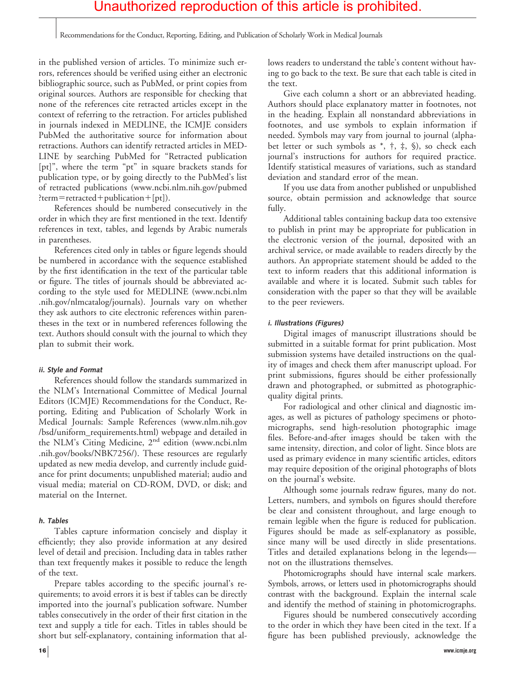## Unauthorized reproduction of this article is prohibited.

Recommendations for the Conduct, Reporting, Editing, and Publication of Scholarly Work in Medical Journals

in the published version of articles. To minimize such errors, references should be verified using either an electronic bibliographic source, such as PubMed, or print copies from original sources. Authors are responsible for checking that none of the references cite retracted articles except in the context of referring to the retraction. For articles published in journals indexed in MEDLINE, the ICMJE considers PubMed the authoritative source for information about retractions. Authors can identify retracted articles in MED-LINE by searching PubMed for "Retracted publication [pt]", where the term "pt" in square brackets stands for publication type, or by going directly to the PubMed's list of retracted publications (www.ncbi.nlm.nih.gov/pubmed ?term=retracted+publication+[pt]).

References should be numbered consecutively in the order in which they are first mentioned in the text. Identify references in text, tables, and legends by Arabic numerals in parentheses.

References cited only in tables or figure legends should be numbered in accordance with the sequence established by the first identification in the text of the particular table or figure. The titles of journals should be abbreviated according to the style used for MEDLINE (www.ncbi.nlm .nih.gov/nlmcatalog/journals). Journals vary on whether they ask authors to cite electronic references within parentheses in the text or in numbered references following the text. Authors should consult with the journal to which they plan to submit their work.

#### **ii. Style and Format**

References should follow the standards summarized in the NLM's International Committee of Medical Journal Editors (ICMJE) Recommendations for the Conduct, Reporting, Editing and Publication of Scholarly Work in Medical Journals: Sample References (www.nlm.nih.gov /bsd/uniform\_requirements.html) webpage and detailed in the NLM's Citing Medicine, 2nd edition (www.ncbi.nlm .nih.gov/books/NBK7256/). These resources are regularly updated as new media develop, and currently include guidance for print documents; unpublished material; audio and visual media; material on CD-ROM, DVD, or disk; and material on the Internet.

#### **h. Tables**

Tables capture information concisely and display it efficiently; they also provide information at any desired level of detail and precision. Including data in tables rather than text frequently makes it possible to reduce the length of the text.

Prepare tables according to the specific journal's requirements; to avoid errors it is best if tables can be directly imported into the journal's publication software. Number tables consecutively in the order of their first citation in the text and supply a title for each. Titles in tables should be short but self-explanatory, containing information that allows readers to understand the table's content without having to go back to the text. Be sure that each table is cited in the text.

Give each column a short or an abbreviated heading. Authors should place explanatory matter in footnotes, not in the heading. Explain all nonstandard abbreviations in footnotes, and use symbols to explain information if needed. Symbols may vary from journal to journal (alphabet letter or such symbols as  $*,$   $\dagger$ ,  $\ddagger$ ,  $\circ$ ), so check each journal's instructions for authors for required practice. Identify statistical measures of variations, such as standard deviation and standard error of the mean.

If you use data from another published or unpublished source, obtain permission and acknowledge that source fully.

Additional tables containing backup data too extensive to publish in print may be appropriate for publication in the electronic version of the journal, deposited with an archival service, or made available to readers directly by the authors. An appropriate statement should be added to the text to inform readers that this additional information is available and where it is located. Submit such tables for consideration with the paper so that they will be available to the peer reviewers.

#### **i. Illustrations (Figures)**

Digital images of manuscript illustrations should be submitted in a suitable format for print publication. Most submission systems have detailed instructions on the quality of images and check them after manuscript upload. For print submissions, figures should be either professionally drawn and photographed, or submitted as photographicquality digital prints.

For radiological and other clinical and diagnostic images, as well as pictures of pathology specimens or photomicrographs, send high-resolution photographic image files. Before-and-after images should be taken with the same intensity, direction, and color of light. Since blots are used as primary evidence in many scientific articles, editors may require deposition of the original photographs of blots on the journal's website.

Although some journals redraw figures, many do not. Letters, numbers, and symbols on figures should therefore be clear and consistent throughout, and large enough to remain legible when the figure is reduced for publication. Figures should be made as self-explanatory as possible, since many will be used directly in slide presentations. Titles and detailed explanations belong in the legends not on the illustrations themselves.

Photomicrographs should have internal scale markers. Symbols, arrows, or letters used in photomicrographs should contrast with the background. Explain the internal scale and identify the method of staining in photomicrographs.

Figures should be numbered consecutively according to the order in which they have been cited in the text. If a figure has been published previously, acknowledge the